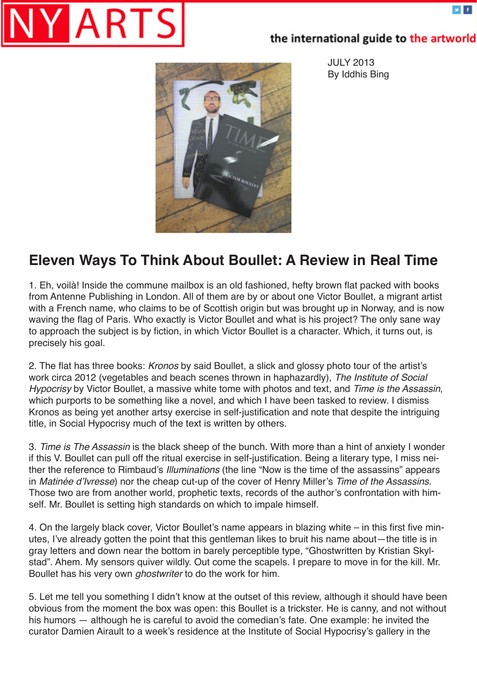

## the international guide to the artworld

JULY 2013 By Iddhis Bing



## **Eleven Ways To Think About Boullet: A Review in Real Time**

1. Eh, voilà! Inside the commune mailbox is an old fashioned, hefty brown flat packed with books from Antenne Publishing in London. All of them are by or about one Victor Boullet, a migrant artist with a French name, who claims to be of Scottish origin but was brought up in Norway, and is now waving the flag of Paris. Who exactly is Victor Boullet and what is his project? The only sane way to approach the subject is by fiction, in which Victor Boullet is a character. Which, it turns out, is precisely his goal.

2. The flat has three books: *Kronos* by said Boullet, a slick and glossy photo tour of the artist's work circa 2012 (vegetables and beach scenes thrown in haphazardly), *The Institute of Social Hypocrisy* by Victor Boullet, a massive white tome with photos and text, and *Time is the Assassin*, which purports to be something like a novel, and which I have been tasked to review. I dismiss Kronos as being yet another artsy exercise in self-justification and note that despite the intriguing title, in Social Hypocrisy much of the text is written by others.

3. *Time is The Assassin* is the black sheep of the bunch. With more than a hint of anxiety I wonder if this V. Boullet can pull off the ritual exercise in self-justification. Being a literary type, I miss neither the reference to Rimbaud's *Illuminations* (the line "Now is the time of the assassins" appears in Matinée d'Ivresse) nor the cheap cut-up of the cover of Henry Miller's *Time of the Assassins.* Those two are from another world, prophetic texts, records of the author's confrontation with himself. Mr. Boullet is setting high standards on which to impale himself.

4. On the largely black cover, Victor Boullet's name appears in blazing white – in this first five minutes, I've already gotten the point that this gentleman likes to bruit his name about—the title is in gray letters and down near the bottom in barely perceptible type, "Ghostwritten by Kristian Skylstad". Ahem. My sensors quiver wildly. Out come the scapels. I prepare to move in for the kill. Mr. Boullet has his very own *ghostwriter* to do the work for him.

5. Let me tell you something I didn't know at the outset of this review, although it should have been obvious from the moment the box was open: this Boullet is a trickster. He is canny, and not without his humors — although he is careful to avoid the comedian's fate. One example: he invited the curator Damien Airault to a week's residence at the Institute of Social Hypocrisy's gallery in the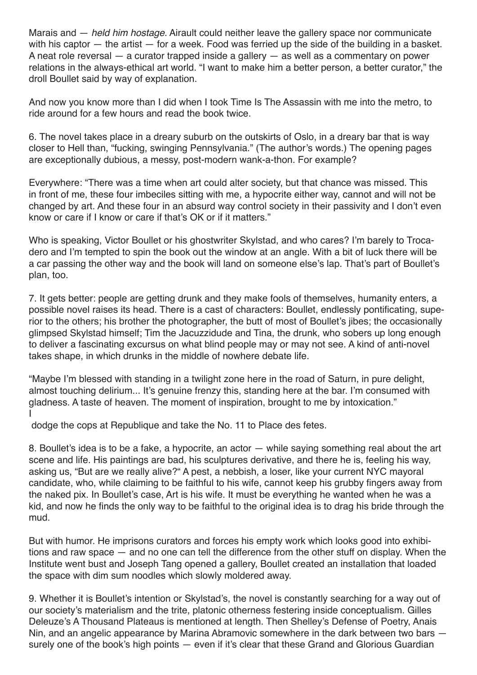Marais and — *held him hostage*. Airault could neither leave the gallery space nor communicate with his captor — the artist — for a week. Food was ferried up the side of the building in a basket. A neat role reversal — a curator trapped inside a gallery — as well as a commentary on power relations in the always-ethical art world. "I want to make him a better person, a better curator," the droll Boullet said by way of explanation.

And now you know more than I did when I took Time Is The Assassin with me into the metro, to ride around for a few hours and read the book twice.

6. The novel takes place in a dreary suburb on the outskirts of Oslo, in a dreary bar that is way closer to Hell than, "fucking, swinging Pennsylvania." (The author's words.) The opening pages are exceptionally dubious, a messy, post-modern wank-a-thon. For example?

Everywhere: "There was a time when art could alter society, but that chance was missed. This in front of me, these four imbeciles sitting with me, a hypocrite either way, cannot and will not be changed by art. And these four in an absurd way control society in their passivity and I don't even know or care if I know or care if that's OK or if it matters."

Who is speaking, Victor Boullet or his ghostwriter Skylstad, and who cares? I'm barely to Trocadero and I'm tempted to spin the book out the window at an angle. With a bit of luck there will be a car passing the other way and the book will land on someone else's lap. That's part of Boullet's plan, too.

7. It gets better: people are getting drunk and they make fools of themselves, humanity enters, a possible novel raises its head. There is a cast of characters: Boullet, endlessly pontificating, superior to the others; his brother the photographer, the butt of most of Boullet's jibes; the occasionally glimpsed Skylstad himself; Tim the Jacuzzidude and Tina, the drunk, who sobers up long enough to deliver a fascinating excursus on what blind people may or may not see. A kind of anti-novel takes shape, in which drunks in the middle of nowhere debate life.

"Maybe I'm blessed with standing in a twilight zone here in the road of Saturn, in pure delight, almost touching delirium... It's genuine frenzy this, standing here at the bar. I'm consumed with gladness. A taste of heaven. The moment of inspiration, brought to me by intoxication." I

dodge the cops at Republique and take the No. 11 to Place des fetes.

8. Boullet's idea is to be a fake, a hypocrite, an actor — while saying something real about the art scene and life. His paintings are bad, his sculptures derivative, and there he is, feeling his way, asking us, "But are we really alive?" A pest, a nebbish, a loser, like your current NYC mayoral candidate, who, while claiming to be faithful to his wife, cannot keep his grubby fingers away from the naked pix. In Boullet's case, Art is his wife. It must be everything he wanted when he was a kid, and now he finds the only way to be faithful to the original idea is to drag his bride through the mud.

But with humor. He imprisons curators and forces his empty work which looks good into exhibitions and raw space — and no one can tell the difference from the other stuff on display. When the Institute went bust and Joseph Tang opened a gallery, Boullet created an installation that loaded the space with dim sum noodles which slowly moldered away.

9. Whether it is Boullet's intention or Skylstad's, the novel is constantly searching for a way out of our society's materialism and the trite, platonic otherness festering inside conceptualism. Gilles Deleuze's A Thousand Plateaus is mentioned at length. Then Shelley's Defense of Poetry, Anais Nin, and an angelic appearance by Marina Abramovic somewhere in the dark between two bars surely one of the book's high points — even if it's clear that these Grand and Glorious Guardian